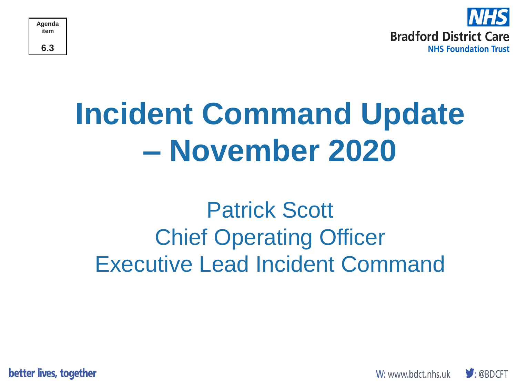

**Agenda item 6.3**

# **Incident Command Update – November 2020**

### Patrick Scott Chief Operating Officer Executive Lead Incident Command

better lives, together

W: www.bdct.nhs.uk

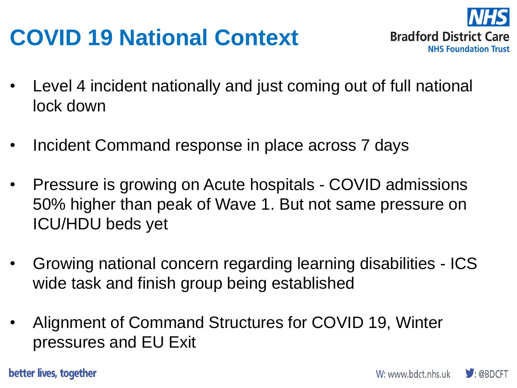## **COVID 19 National Context**



- Level 4 incident nationally and just coming out of full national lock down
- Incident Command response in place across 7 days
- Pressure is growing on Acute hospitals COVID admissions 50% higher than peak of Wave 1. But not same pressure on ICU/HDU beds yet
- Growing national concern regarding learning disabilities ICS wide task and finish group being established
- Alignment of Command Structures for COVID 19, Winter pressures and EU Exit

better lives, together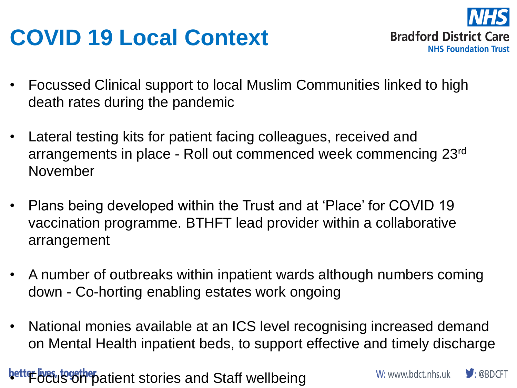### **COVID 19 Local Context**



- Focussed Clinical support to local Muslim Communities linked to high death rates during the pandemic
- Lateral testing kits for patient facing colleagues, received and arrangements in place - Roll out commenced week commencing 23rd November
- Plans being developed within the Trust and at 'Place' for COVID 19 vaccination programme. BTHFT lead provider within a collaborative arrangement
- A number of outbreaks within inpatient wards although numbers coming down - Co-horting enabling estates work ongoing
- National monies available at an ICS level recognising increased demand on Mental Health inpatient beds, to support effective and timely discharge

better lives, together atient stories and Staff wellbeing

W: www.bdct.nhs.uk

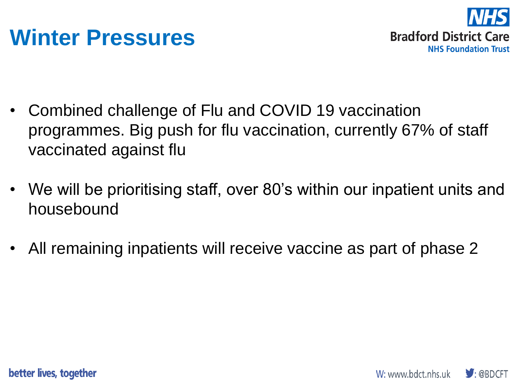



- Combined challenge of Flu and COVID 19 vaccination programmes. Big push for flu vaccination, currently 67% of staff vaccinated against flu
- We will be prioritising staff, over 80's within our inpatient units and housebound
- All remaining inpatients will receive vaccine as part of phase 2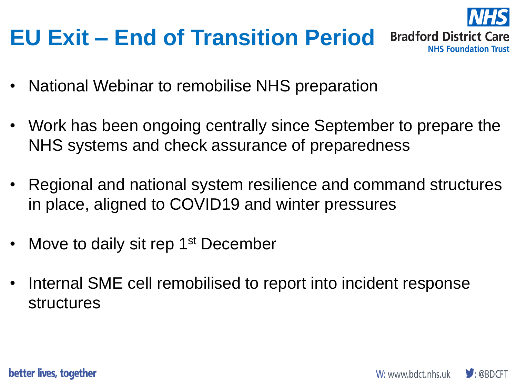## **EU Exit – End of Transition Period**



- National Webinar to remobilise NHS preparation
- Work has been ongoing centrally since September to prepare the NHS systems and check assurance of preparedness
- Regional and national system resilience and command structures in place, aligned to COVID19 and winter pressures
- Move to daily sit rep 1<sup>st</sup> December
- Internal SME cell remobilised to report into incident response structures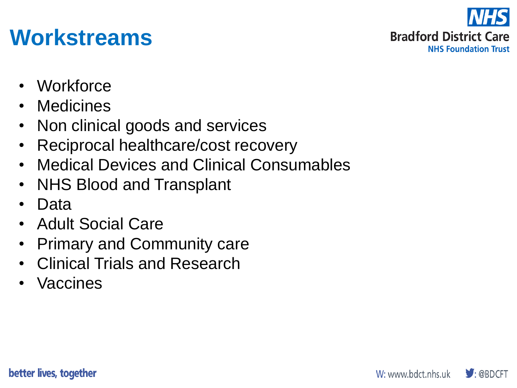

#### **Workstreams**

- Workforce
- Medicines
- Non clinical goods and services
- Reciprocal healthcare/cost recovery
- Medical Devices and Clinical Consumables
- NHS Blood and Transplant
- Data
- Adult Social Care
- Primary and Community care
- Clinical Trials and Research
- Vaccines

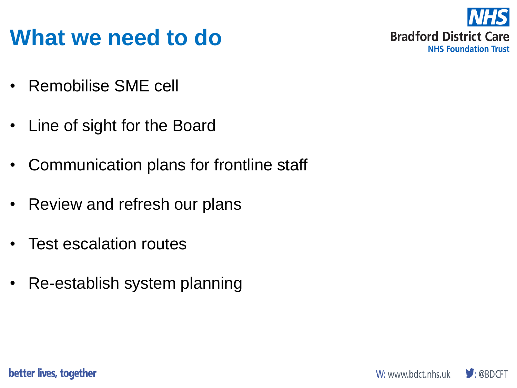#### **What we need to do**



- Remobilise SME cell
- Line of sight for the Board
- Communication plans for frontline staff
- Review and refresh our plans
- Test escalation routes
- Re-establish system planning